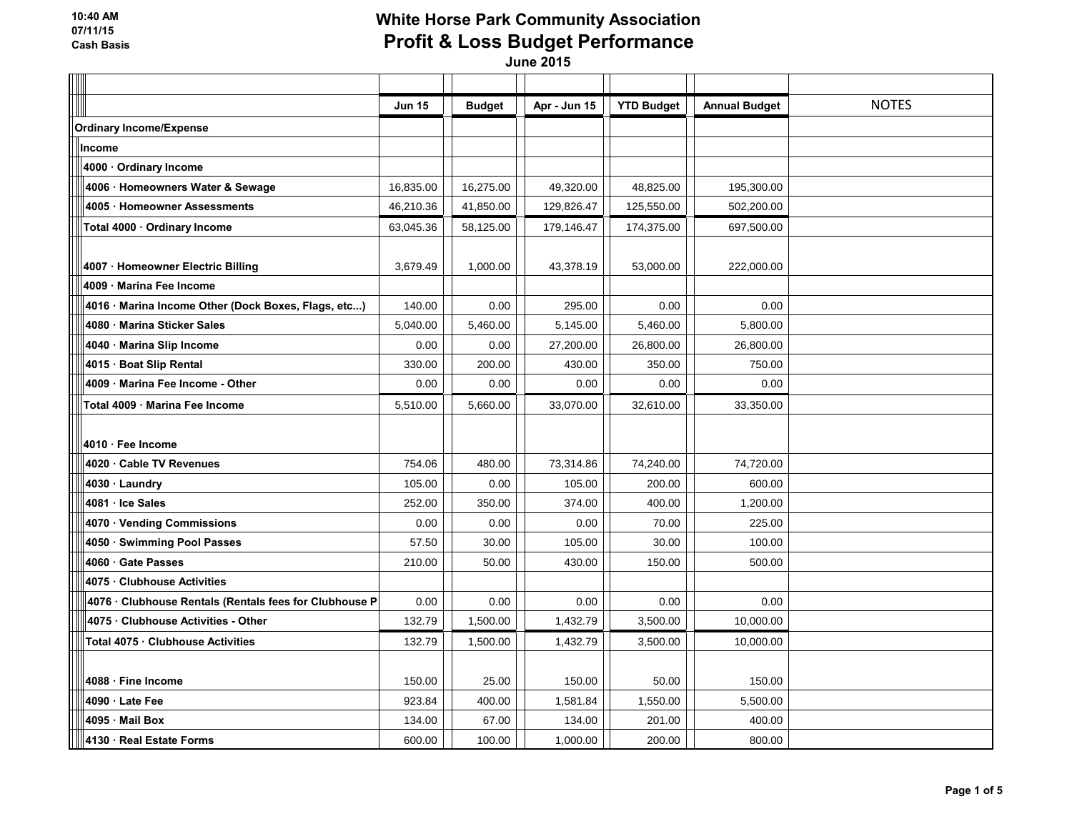| $\overline{\phantom{0}}$ |                                                        |               |               |              |                   |                      |              |
|--------------------------|--------------------------------------------------------|---------------|---------------|--------------|-------------------|----------------------|--------------|
|                          |                                                        | <b>Jun 15</b> | <b>Budget</b> | Apr - Jun 15 | <b>YTD Budget</b> | <b>Annual Budget</b> | <b>NOTES</b> |
|                          | <b>Ordinary Income/Expense</b>                         |               |               |              |                   |                      |              |
|                          | Income                                                 |               |               |              |                   |                      |              |
|                          | 4000 · Ordinary Income                                 |               |               |              |                   |                      |              |
|                          | 4006 · Homeowners Water & Sewage                       | 16,835.00     | 16,275.00     | 49,320.00    | 48,825.00         | 195,300.00           |              |
|                          | 4005 Homeowner Assessments                             | 46,210.36     | 41,850.00     | 129,826.47   | 125,550.00        | 502,200.00           |              |
|                          | Total 4000 · Ordinary Income                           | 63,045.36     | 58,125.00     | 179,146.47   | 174,375.00        | 697,500.00           |              |
|                          |                                                        |               |               |              |                   |                      |              |
|                          | 4007 · Homeowner Electric Billing                      | 3,679.49      | 1,000.00      | 43,378.19    | 53,000.00         | 222,000.00           |              |
|                          | 4009 · Marina Fee Income                               |               |               |              |                   |                      |              |
|                          | 4016 · Marina Income Other (Dock Boxes, Flags, etc)    | 140.00        | 0.00          | 295.00       | 0.00              | 0.00                 |              |
|                          | 4080 Marina Sticker Sales                              | 5,040.00      | 5,460.00      | 5,145.00     | 5,460.00          | 5,800.00             |              |
|                          | 4040 · Marina Slip Income                              | 0.00          | 0.00          | 27,200.00    | 26,800.00         | 26,800.00            |              |
|                          | 4015 · Boat Slip Rental                                | 330.00        | 200.00        | 430.00       | 350.00            | 750.00               |              |
|                          | 4009 Marina Fee Income - Other                         | 0.00          | 0.00          | 0.00         | 0.00              | 0.00                 |              |
|                          | Total 4009 · Marina Fee Income                         | 5,510.00      | 5,660.00      | 33,070.00    | 32,610.00         | 33,350.00            |              |
|                          |                                                        |               |               |              |                   |                      |              |
|                          | 4010 · Fee Income                                      |               |               |              |                   |                      |              |
|                          | 4020 Cable TV Revenues                                 | 754.06        | 480.00        | 73,314.86    | 74,240.00         | 74,720.00            |              |
|                          | 4030 · Laundry                                         | 105.00        | 0.00          | 105.00       | 200.00            | 600.00               |              |
|                          | 4081 · Ice Sales                                       | 252.00        | 350.00        | 374.00       | 400.00            | 1,200.00             |              |
|                          | 4070 · Vending Commissions                             | 0.00          | 0.00          | 0.00         | 70.00             | 225.00               |              |
|                          | 4050 · Swimming Pool Passes                            | 57.50         | 30.00         | 105.00       | 30.00             | 100.00               |              |
|                          | 4060 Gate Passes                                       | 210.00        | 50.00         | 430.00       | 150.00            | 500.00               |              |
|                          | 4075 Clubhouse Activities                              |               |               |              |                   |                      |              |
|                          | 4076 · Clubhouse Rentals (Rentals fees for Clubhouse P | 0.00          | 0.00          | 0.00         | 0.00              | 0.00                 |              |
|                          | 4075 Clubhouse Activities - Other                      | 132.79        | 1,500.00      | 1,432.79     | 3,500.00          | 10,000.00            |              |
|                          | Total 4075 · Clubhouse Activities                      | 132.79        | 1,500.00      | 1,432.79     | 3,500.00          | 10,000.00            |              |
|                          |                                                        |               |               |              |                   |                      |              |
|                          | 4088 Fine Income                                       | 150.00        | 25.00         | 150.00       | 50.00             | 150.00               |              |
|                          | 4090 Late Fee                                          | 923.84        | 400.00        | 1,581.84     | 1,550.00          | 5,500.00             |              |
|                          | 4095 Mail Box                                          | 134.00        | 67.00         | 134.00       | 201.00            | 400.00               |              |
|                          | 4130 · Real Estate Forms                               | 600.00        | 100.00        | 1,000.00     | 200.00            | 800.00               |              |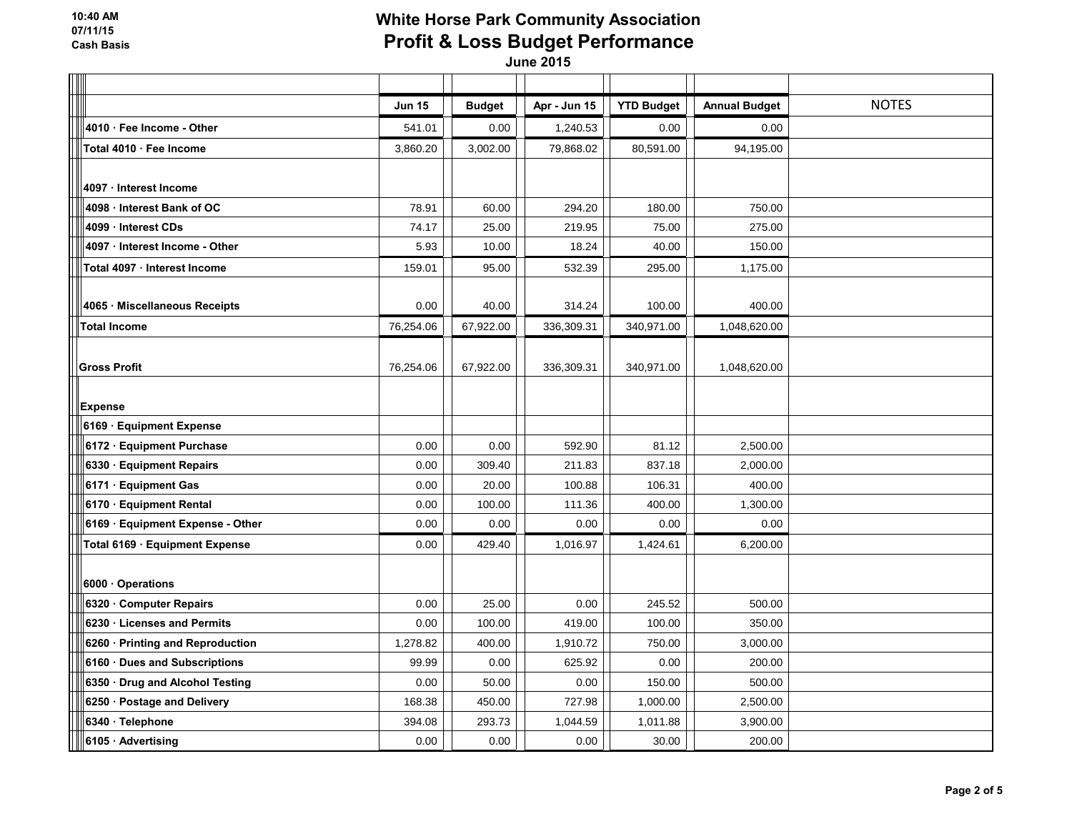| $\overline{\phantom{0}}$         |               |               |              |                   |                      |              |
|----------------------------------|---------------|---------------|--------------|-------------------|----------------------|--------------|
|                                  | <b>Jun 15</b> | <b>Budget</b> | Apr - Jun 15 | <b>YTD Budget</b> | <b>Annual Budget</b> | <b>NOTES</b> |
| 4010 · Fee Income - Other        | 541.01        | 0.00          | 1,240.53     | 0.00              | 0.00                 |              |
| Total 4010 · Fee Income          | 3,860.20      | 3,002.00      | 79,868.02    | 80,591.00         | 94,195.00            |              |
|                                  |               |               |              |                   |                      |              |
| 4097 · Interest Income           |               |               |              |                   |                      |              |
| 4098 Interest Bank of OC         | 78.91         | 60.00         | 294.20       | 180.00            | 750.00               |              |
| 4099 · Interest CDs              | 74.17         | 25.00         | 219.95       | 75.00             | 275.00               |              |
| 4097 · Interest Income - Other   | 5.93          | 10.00         | 18.24        | 40.00             | 150.00               |              |
| Total 4097 · Interest Income     | 159.01        | 95.00         | 532.39       | 295.00            | 1,175.00             |              |
|                                  |               |               |              |                   |                      |              |
| 4065 · Miscellaneous Receipts    | 0.00          | 40.00         | 314.24       | 100.00            | 400.00               |              |
| <b>Total Income</b>              | 76,254.06     | 67,922.00     | 336,309.31   | 340,971.00        | 1,048,620.00         |              |
|                                  |               |               |              |                   |                      |              |
| <b>Gross Profit</b>              | 76,254.06     | 67,922.00     | 336,309.31   | 340,971.00        | 1,048,620.00         |              |
|                                  |               |               |              |                   |                      |              |
| <b>Expense</b>                   |               |               |              |                   |                      |              |
| 6169 · Equipment Expense         |               |               |              |                   |                      |              |
| 6172 Equipment Purchase          | 0.00          | 0.00          | 592.90       | 81.12             | 2,500.00             |              |
| 6330 Equipment Repairs           | 0.00          | 309.40        | 211.83       | 837.18            | 2,000.00             |              |
| 6171 · Equipment Gas             | 0.00          | 20.00         | 100.88       | 106.31            | 400.00               |              |
| 6170 · Equipment Rental          | 0.00          | 100.00        | 111.36       | 400.00            | 1,300.00             |              |
| 6169 · Equipment Expense - Other | 0.00          | 0.00          | 0.00         | 0.00              | 0.00                 |              |
| Total 6169 · Equipment Expense   | 0.00          | 429.40        | 1,016.97     | 1,424.61          | 6,200.00             |              |
|                                  |               |               |              |                   |                      |              |
| 6000 Operations                  |               |               |              |                   |                      |              |
| 6320 Computer Repairs            | 0.00          | 25.00         | 0.00         | 245.52            | 500.00               |              |
| 6230 · Licenses and Permits      | 0.00          | 100.00        | 419.00       | 100.00            | 350.00               |              |
| 6260 · Printing and Reproduction | 1,278.82      | 400.00        | 1,910.72     | 750.00            | 3,000.00             |              |
| 6160 · Dues and Subscriptions    | 99.99         | 0.00          | 625.92       | 0.00              | 200.00               |              |
| 6350 · Drug and Alcohol Testing  | 0.00          | 50.00         | 0.00         | 150.00            | 500.00               |              |
| 6250 · Postage and Delivery      | 168.38        | 450.00        | 727.98       | 1,000.00          | 2,500.00             |              |
| 6340 · Telephone                 | 394.08        | 293.73        | 1,044.59     | 1,011.88          | 3,900.00             |              |
| 6105 · Advertising               | 0.00          | 0.00          | 0.00         | 30.00             | 200.00               |              |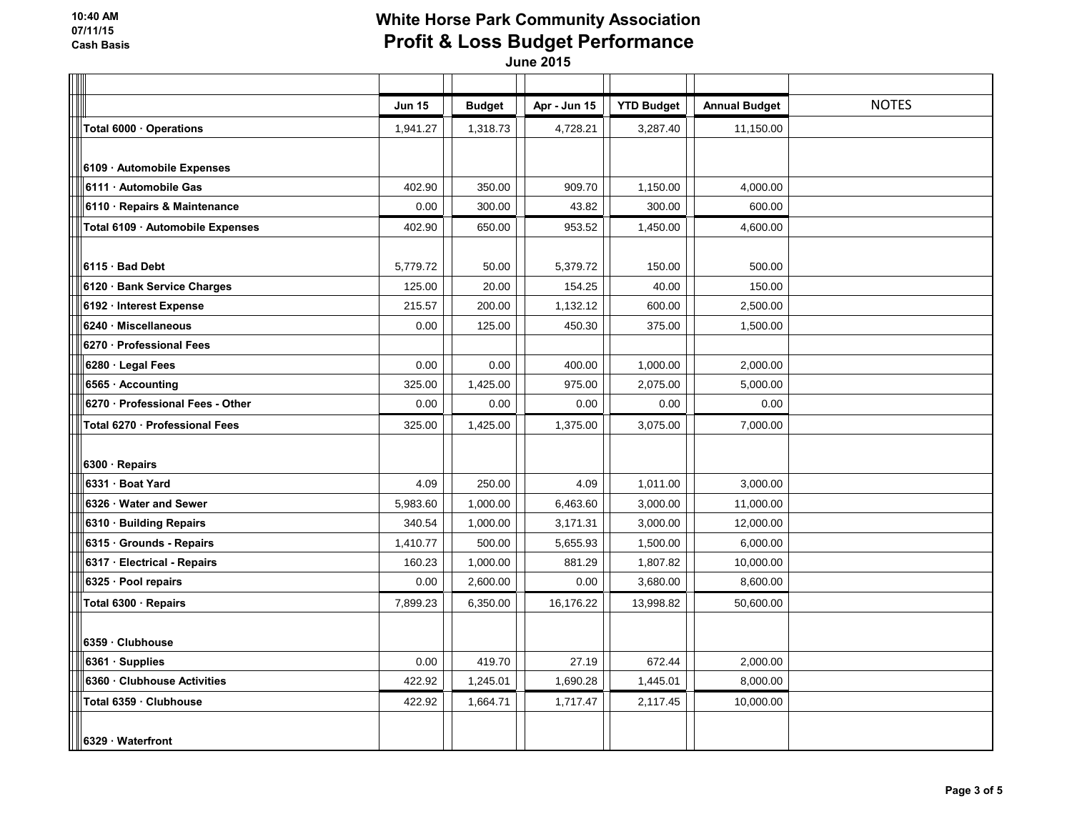**10:40 AM 07/11/15 Cash Basis**

# **White Horse Park Community Association Profit & Loss Budget Performance**

| $\Box$                           |               |               |              |                   |                      |              |
|----------------------------------|---------------|---------------|--------------|-------------------|----------------------|--------------|
|                                  | <b>Jun 15</b> | <b>Budget</b> | Apr - Jun 15 | <b>YTD Budget</b> | <b>Annual Budget</b> | <b>NOTES</b> |
| Total 6000 · Operations          | 1,941.27      | 1,318.73      | 4,728.21     | 3,287.40          | 11,150.00            |              |
|                                  |               |               |              |                   |                      |              |
| 6109 · Automobile Expenses       |               |               |              |                   |                      |              |
| 6111 Automobile Gas              | 402.90        | 350.00        | 909.70       | 1,150.00          | 4,000.00             |              |
| 6110 Repairs & Maintenance       | 0.00          | 300.00        | 43.82        | 300.00            | 600.00               |              |
| Total 6109 · Automobile Expenses | 402.90        | 650.00        | 953.52       | 1,450.00          | 4,600.00             |              |
|                                  |               |               |              |                   |                      |              |
| 6115 · Bad Debt                  | 5,779.72      | 50.00         | 5,379.72     | 150.00            | 500.00               |              |
| 6120 · Bank Service Charges      | 125.00        | 20.00         | 154.25       | 40.00             | 150.00               |              |
| 6192 · Interest Expense          | 215.57        | 200.00        | 1,132.12     | 600.00            | 2,500.00             |              |
| 6240 · Miscellaneous             | 0.00          | 125.00        | 450.30       | 375.00            | 1,500.00             |              |
| 6270 · Professional Fees         |               |               |              |                   |                      |              |
| 6280 · Legal Fees                | 0.00          | 0.00          | 400.00       | 1,000.00          | 2,000.00             |              |
| 6565 · Accounting                | 325.00        | 1,425.00      | 975.00       | 2,075.00          | 5,000.00             |              |
| 6270 - Professional Fees - Other | 0.00          | 0.00          | 0.00         | 0.00              | 0.00                 |              |
| Total 6270 · Professional Fees   | 325.00        | 1,425.00      | 1,375.00     | 3,075.00          | 7,000.00             |              |
|                                  |               |               |              |                   |                      |              |
| 6300 · Repairs                   |               |               |              |                   |                      |              |
| 6331 Boat Yard                   | 4.09          | 250.00        | 4.09         | 1,011.00          | 3,000.00             |              |
| 6326 Water and Sewer             | 5,983.60      | 1,000.00      | 6,463.60     | 3,000.00          | 11,000.00            |              |
| 6310 · Building Repairs          | 340.54        | 1,000.00      | 3,171.31     | 3,000.00          | 12,000.00            |              |
| 6315 Grounds - Repairs           | 1,410.77      | 500.00        | 5,655.93     | 1,500.00          | 6,000.00             |              |
| 6317 Electrical - Repairs        | 160.23        | 1,000.00      | 881.29       | 1,807.82          | 10,000.00            |              |
| 6325 · Pool repairs              | 0.00          | 2,600.00      | 0.00         | 3,680.00          | 8,600.00             |              |
| Total 6300 · Repairs             | 7,899.23      | 6,350.00      | 16,176.22    | 13,998.82         | 50,600.00            |              |
|                                  |               |               |              |                   |                      |              |
| 6359 Clubhouse                   |               |               |              |                   |                      |              |
| 6361 · Supplies                  | 0.00          | 419.70        | 27.19        | 672.44            | 2,000.00             |              |
| 6360 Clubhouse Activities        | 422.92        | 1,245.01      | 1,690.28     | 1,445.01          | 8,000.00             |              |
| Total 6359 · Clubhouse           | 422.92        | 1,664.71      | 1,717.47     | 2,117.45          | 10,000.00            |              |
|                                  |               |               |              |                   |                      |              |
| 6329 · Waterfront                |               |               |              |                   |                      |              |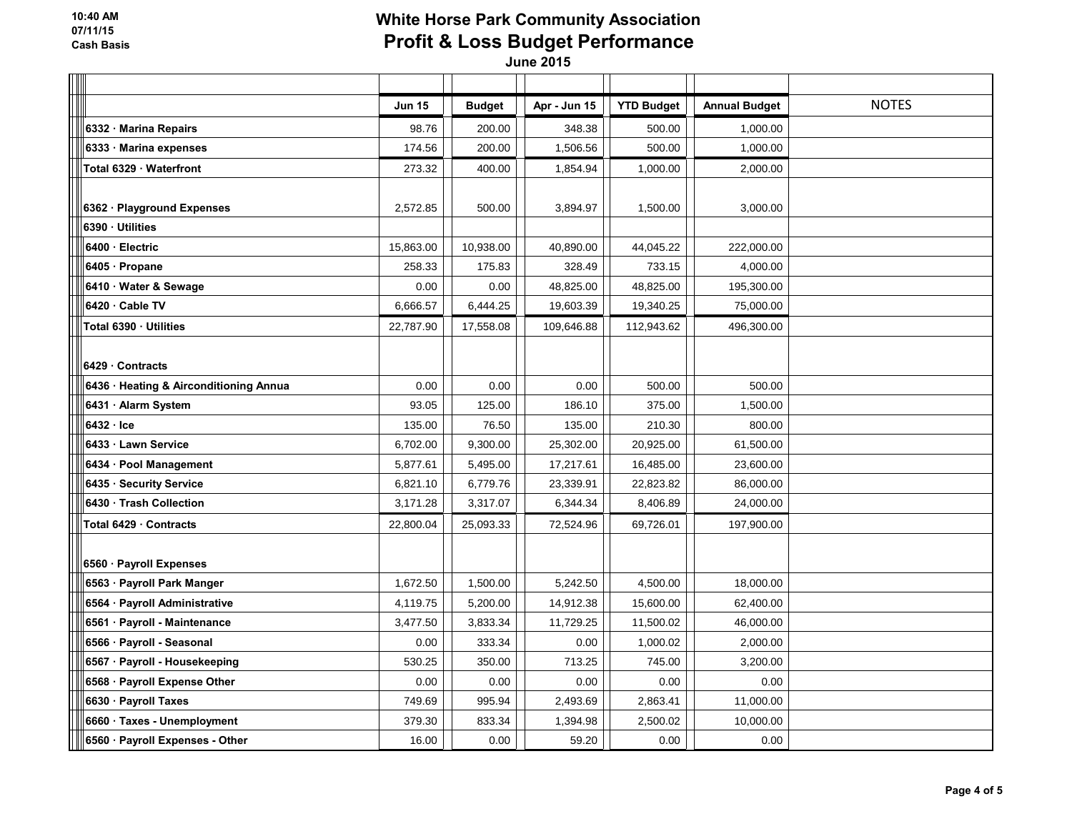| $\overline{\phantom{a}}$               |               |               |              |                   |                      |              |
|----------------------------------------|---------------|---------------|--------------|-------------------|----------------------|--------------|
|                                        | <b>Jun 15</b> | <b>Budget</b> | Apr - Jun 15 | <b>YTD Budget</b> | <b>Annual Budget</b> | <b>NOTES</b> |
| 6332 · Marina Repairs                  | 98.76         | 200.00        | 348.38       | 500.00            | 1,000.00             |              |
| 6333 Marina expenses                   | 174.56        | 200.00        | 1,506.56     | 500.00            | 1,000.00             |              |
| Total 6329 · Waterfront                | 273.32        | 400.00        | 1,854.94     | 1,000.00          | 2,000.00             |              |
|                                        |               |               |              |                   |                      |              |
| 6362 · Playground Expenses             | 2,572.85      | 500.00        | 3,894.97     | 1,500.00          | 3,000.00             |              |
| 6390 · Utilities                       |               |               |              |                   |                      |              |
| 6400 · Electric                        | 15,863.00     | 10,938.00     | 40,890.00    | 44,045.22         | 222,000.00           |              |
| 6405 · Propane                         | 258.33        | 175.83        | 328.49       | 733.15            | 4,000.00             |              |
| 6410 · Water & Sewage                  | 0.00          | 0.00          | 48,825.00    | 48,825.00         | 195,300.00           |              |
| 6420 Cable TV                          | 6,666.57      | 6,444.25      | 19,603.39    | 19,340.25         | 75,000.00            |              |
| Total 6390 · Utilities                 | 22,787.90     | 17,558.08     | 109,646.88   | 112,943.62        | 496,300.00           |              |
|                                        |               |               |              |                   |                      |              |
| $6429 \cdot$ Contracts                 |               |               |              |                   |                      |              |
| 6436 · Heating & Airconditioning Annua | 0.00          | 0.00          | 0.00         | 500.00            | 500.00               |              |
| 6431 · Alarm System                    | 93.05         | 125.00        | 186.10       | 375.00            | 1,500.00             |              |
| 6432 Ice                               | 135.00        | 76.50         | 135.00       | 210.30            | 800.00               |              |
| 6433 · Lawn Service                    | 6,702.00      | 9,300.00      | 25,302.00    | 20,925.00         | 61,500.00            |              |
| 6434 · Pool Management                 | 5,877.61      | 5,495.00      | 17,217.61    | 16,485.00         | 23,600.00            |              |
| 6435 · Security Service                | 6,821.10      | 6,779.76      | 23,339.91    | 22,823.82         | 86,000.00            |              |
| 6430 Trash Collection                  | 3,171.28      | 3,317.07      | 6,344.34     | 8,406.89          | 24,000.00            |              |
| Total 6429 · Contracts                 | 22,800.04     | 25,093.33     | 72,524.96    | 69,726.01         | 197,900.00           |              |
|                                        |               |               |              |                   |                      |              |
| 6560 · Payroll Expenses                |               |               |              |                   |                      |              |
| 6563 · Payroll Park Manger             | 1,672.50      | 1,500.00      | 5,242.50     | 4,500.00          | 18,000.00            |              |
| 6564 · Payroll Administrative          | 4,119.75      | 5,200.00      | 14,912.38    | 15,600.00         | 62,400.00            |              |
| 6561 · Payroll - Maintenance           | 3,477.50      | 3,833.34      | 11,729.25    | 11,500.02         | 46,000.00            |              |
| 6566 · Payroll - Seasonal              | 0.00          | 333.34        | 0.00         | 1,000.02          | 2,000.00             |              |
| 6567 · Payroll - Housekeeping          | 530.25        | 350.00        | 713.25       | 745.00            | 3,200.00             |              |
| 6568 · Payroll Expense Other           | 0.00          | 0.00          | 0.00         | 0.00              | 0.00                 |              |
| 6630 · Payroll Taxes                   | 749.69        | 995.94        | 2,493.69     | 2,863.41          | 11,000.00            |              |
| 6660 · Taxes - Unemployment            | 379.30        | 833.34        | 1,394.98     | 2,500.02          | 10,000.00            |              |
| 6560 · Payroll Expenses - Other        | 16.00         | 0.00          | 59.20        | 0.00              | 0.00                 |              |